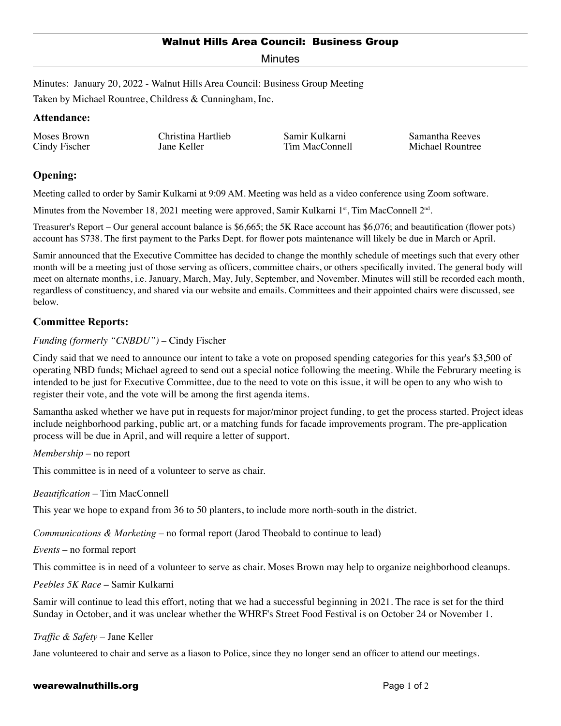## Walnut Hills Area Council: Business Group

Minutes

Minutes: January 20, 2022 - Walnut Hills Area Council: Business Group Meeting

Taken by Michael Rountree, Childress & Cunningham, Inc.

### **Attendance:**

Moses Brown Cindy Fischer Christina Hartlieb Jane Keller

Samir Kulkarni Tim MacConnell Samantha Reeves Michael Rountree

# **Opening:**

Meeting called to order by Samir Kulkarni at 9:09 AM. Meeting was held as a video conference using Zoom software.

Minutes from the November 18, 2021 meeting were approved, Samir Kulkarni 1<sup>st</sup>, Tim MacConnell  $2<sup>nd</sup>$ .

Treasurer's Report – Our general account balance is \$6,665; the 5K Race account has \$6,076; and beautification (flower pots) account has \$738. The first payment to the Parks Dept. for flower pots maintenance will likely be due in March or April.

Samir announced that the Executive Committee has decided to change the monthly schedule of meetings such that every other month will be a meeting just of those serving as officers, committee chairs, or others specifically invited. The general body will meet on alternate months, i.e. January, March, May, July, September, and November. Minutes will still be recorded each month, regardless of constituency, and shared via our website and emails. Committees and their appointed chairs were discussed, see below.

# **Committee Reports:**

## *Funding (formerly "CNBDU")* – Cindy Fischer

Cindy said that we need to announce our intent to take a vote on proposed spending categories for this year's \$3,500 of operating NBD funds; Michael agreed to send out a special notice following the meeting. While the Februrary meeting is intended to be just for Executive Committee, due to the need to vote on this issue, it will be open to any who wish to register their vote, and the vote will be among the first agenda items.

Samantha asked whether we have put in requests for major/minor project funding, to get the process started. Project ideas include neighborhood parking, public art, or a matching funds for facade improvements program. The pre-application process will be due in April, and will require a letter of support.

*Membership* – no report

This committee is in need of a volunteer to serve as chair.

*Beautification* – Tim MacConnell

This year we hope to expand from 36 to 50 planters, to include more north-south in the district.

*Communications & Marketing* – no formal report (Jarod Theobald to continue to lead)

*Events* – no formal report

This committee is in need of a volunteer to serve as chair. Moses Brown may help to organize neighborhood cleanups.

*Peebles 5K Race* – Samir Kulkarni

Samir will continue to lead this effort, noting that we had a successful beginning in 2021. The race is set for the third Sunday in October, and it was unclear whether the WHRF's Street Food Festival is on October 24 or November 1.

### *Traffic & Safety* – Jane Keller

Jane volunteered to chair and serve as a liason to Police, since they no longer send an officer to attend our meetings.

#### wearewalnuthills.org **Page 1 of 2** and 2 and 2 and 2 and 2 and 2 and 2 and 2 and 2 and 2 and 2 and 2 and 2 and 2 and 2 and 2 and 2 and 2 and 2 and 2 and 2 and 2 and 2 and 2 and 2 and 2 and 2 and 2 and 2 and 2 and 2 and 2 a